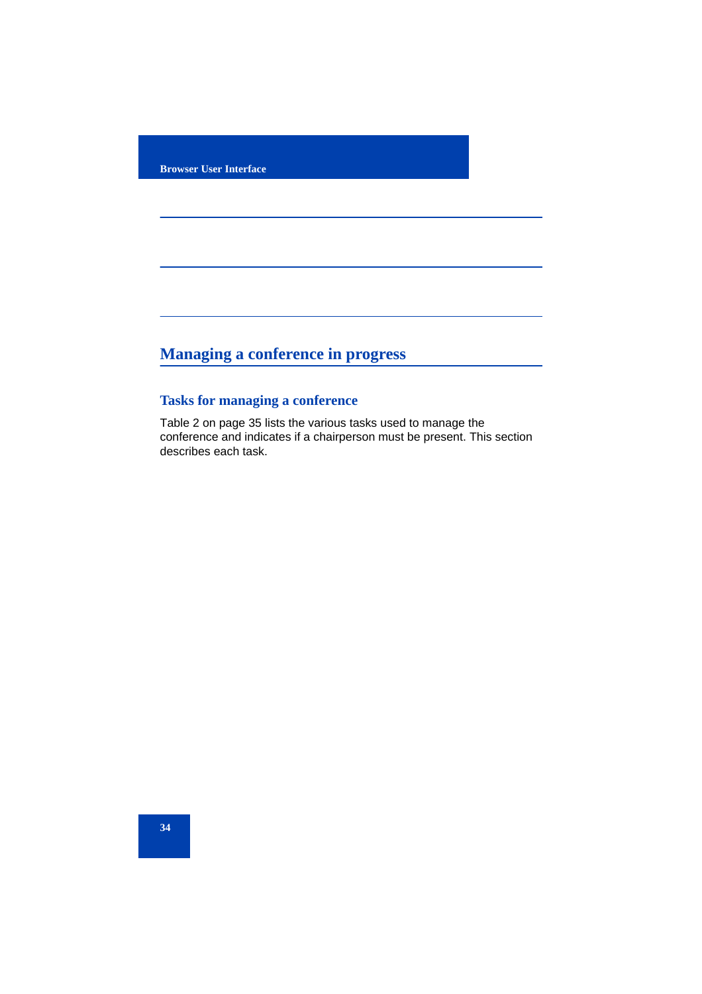**Browser User Interface**

# **Managing a conference in progress**

# **Tasks for managing a conference**

Table 2 on page 35 lists the various tasks used to manage the conference and indicates if a chairperson must be present. This section describes each task.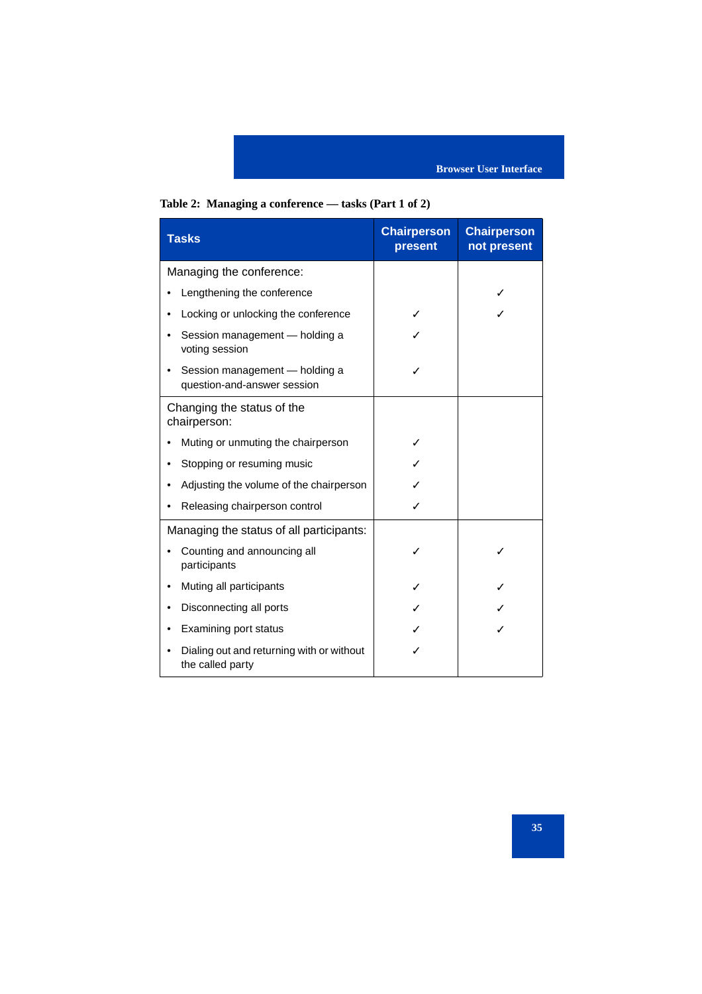# **Table 2: Managing a conference — tasks (Part 1 of 2)**

| <b>Tasks</b>                                                  | <b>Chairperson</b><br>present | <b>Chairperson</b><br>not present |
|---------------------------------------------------------------|-------------------------------|-----------------------------------|
| Managing the conference:                                      |                               |                                   |
| Lengthening the conference                                    |                               |                                   |
| Locking or unlocking the conference                           |                               |                                   |
| Session management - holding a<br>voting session              |                               |                                   |
| Session management - holding a<br>question-and-answer session |                               |                                   |
| Changing the status of the<br>chairperson:                    |                               |                                   |
| Muting or unmuting the chairperson                            |                               |                                   |
| Stopping or resuming music                                    |                               |                                   |
| Adjusting the volume of the chairperson                       |                               |                                   |
| Releasing chairperson control                                 |                               |                                   |
| Managing the status of all participants:                      |                               |                                   |
| Counting and announcing all<br>participants                   |                               |                                   |
| Muting all participants                                       |                               |                                   |
| Disconnecting all ports                                       |                               |                                   |
| Examining port status                                         |                               |                                   |
| Dialing out and returning with or without<br>the called party |                               |                                   |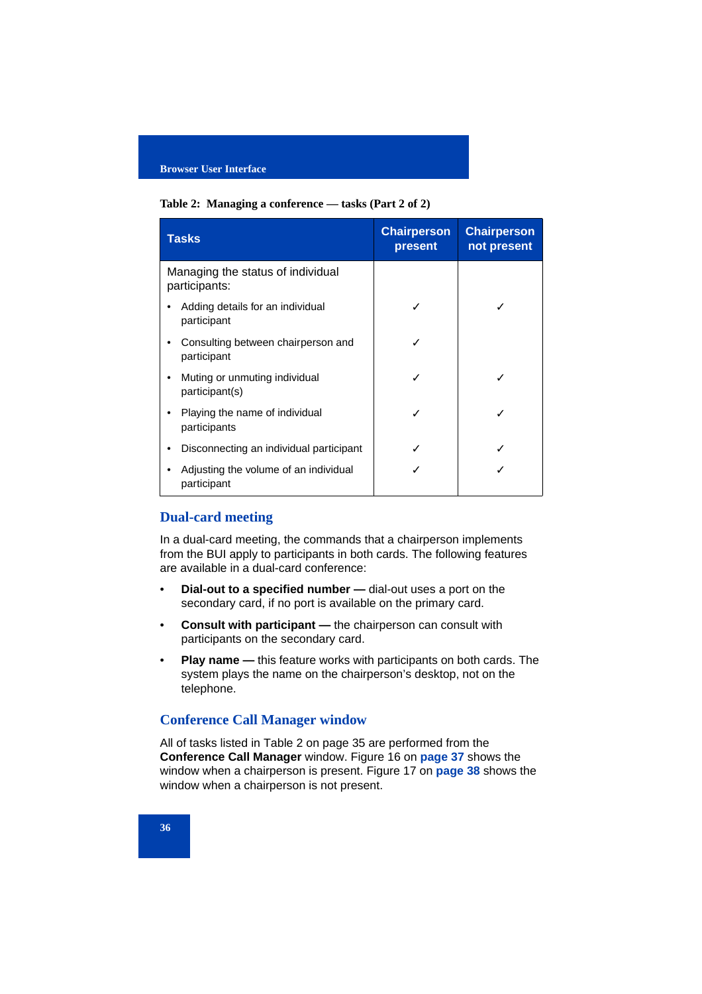#### **Table 2: Managing a conference — tasks (Part 2 of 2)**

| <b>Tasks</b>                                         | <b>Chairperson</b><br>present | <b>Chairperson</b><br>not present |
|------------------------------------------------------|-------------------------------|-----------------------------------|
| Managing the status of individual<br>participants:   |                               |                                   |
| Adding details for an individual<br>participant      |                               |                                   |
| Consulting between chairperson and<br>participant    |                               |                                   |
| Muting or unmuting individual<br>participant(s)      |                               |                                   |
| Playing the name of individual<br>participants       |                               |                                   |
| Disconnecting an individual participant              |                               |                                   |
| Adjusting the volume of an individual<br>participant |                               |                                   |

# **Dual-card meeting**

In a dual-card meeting, the commands that a chairperson implements from the BUI apply to participants in both cards. The following features are available in a dual-card conference:

- **Dial-out to a specified number —** dial-out uses a port on the secondary card, if no port is available on the primary card.
- **Consult with participant —** the chairperson can consult with participants on the secondary card.
- **Play name —** this feature works with participants on both cards. The system plays the name on the chairperson's desktop, not on the telephone.

# **Conference Call Manager window**

All of tasks listed in Table 2 on page 35 are performed from the **Conference Call Manager** window. Figure 16 on **page 37** shows the window when a chairperson is present. Figure 17 on **page 38** shows the window when a chairperson is not present.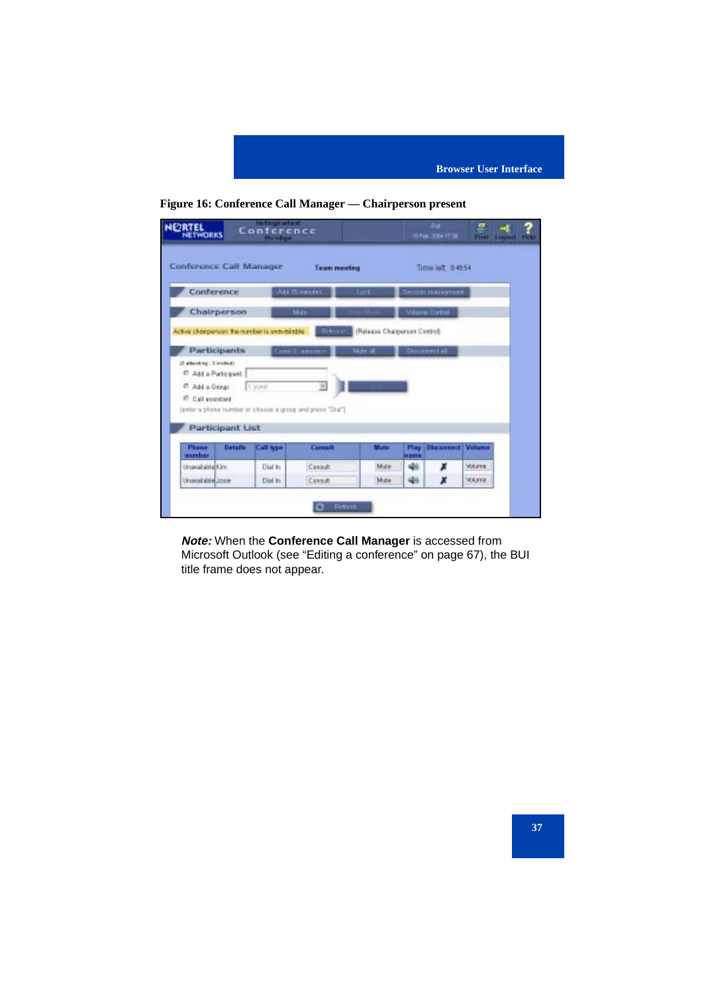



| Conference Call Manager<br>Time left 0-48.54<br><b>Team meeting</b><br>Conference<br>A41 15 minutes<br>Lisk<br><b>Better Haugened</b><br>Chairperson<br>Villame Control<br><b>Midir</b><br>(Release Chargerson Control)<br>Active charperson: the number is unavailable<br>Release<br><b>Participants</b><br>Mote of<br>Concil america<br>Disconnect all<br>Outbooking - 3 Institute<br><sup>E</sup> Add a Participant<br><sup>67</sup> Add a Group:<br>1. yunal<br>m<br><sup>(2)</sup> Call assistant<br>(exter a phone rember or choose a group and press "Dial").<br><b>Participant List</b><br><b>Volume</b><br><b>Datalla</b><br><b>Blocomiect</b><br>Phone<br>Call type<br>Contact<br><b>Marie</b><br>Play<br>marshar<br>12018<br>48<br>Volume<br>Dial In<br>Mute<br>Unavailable Kim<br>Carputt<br>x<br>48<br>WAXNE<br>Cussuit<br>Mute<br>Unanalishle Jose<br>Dial In<br>x |  |  |  |  |
|----------------------------------------------------------------------------------------------------------------------------------------------------------------------------------------------------------------------------------------------------------------------------------------------------------------------------------------------------------------------------------------------------------------------------------------------------------------------------------------------------------------------------------------------------------------------------------------------------------------------------------------------------------------------------------------------------------------------------------------------------------------------------------------------------------------------------------------------------------------------------------|--|--|--|--|
|                                                                                                                                                                                                                                                                                                                                                                                                                                                                                                                                                                                                                                                                                                                                                                                                                                                                                  |  |  |  |  |
|                                                                                                                                                                                                                                                                                                                                                                                                                                                                                                                                                                                                                                                                                                                                                                                                                                                                                  |  |  |  |  |
|                                                                                                                                                                                                                                                                                                                                                                                                                                                                                                                                                                                                                                                                                                                                                                                                                                                                                  |  |  |  |  |
|                                                                                                                                                                                                                                                                                                                                                                                                                                                                                                                                                                                                                                                                                                                                                                                                                                                                                  |  |  |  |  |
|                                                                                                                                                                                                                                                                                                                                                                                                                                                                                                                                                                                                                                                                                                                                                                                                                                                                                  |  |  |  |  |
|                                                                                                                                                                                                                                                                                                                                                                                                                                                                                                                                                                                                                                                                                                                                                                                                                                                                                  |  |  |  |  |
|                                                                                                                                                                                                                                                                                                                                                                                                                                                                                                                                                                                                                                                                                                                                                                                                                                                                                  |  |  |  |  |
|                                                                                                                                                                                                                                                                                                                                                                                                                                                                                                                                                                                                                                                                                                                                                                                                                                                                                  |  |  |  |  |
|                                                                                                                                                                                                                                                                                                                                                                                                                                                                                                                                                                                                                                                                                                                                                                                                                                                                                  |  |  |  |  |
|                                                                                                                                                                                                                                                                                                                                                                                                                                                                                                                                                                                                                                                                                                                                                                                                                                                                                  |  |  |  |  |
|                                                                                                                                                                                                                                                                                                                                                                                                                                                                                                                                                                                                                                                                                                                                                                                                                                                                                  |  |  |  |  |
|                                                                                                                                                                                                                                                                                                                                                                                                                                                                                                                                                                                                                                                                                                                                                                                                                                                                                  |  |  |  |  |
|                                                                                                                                                                                                                                                                                                                                                                                                                                                                                                                                                                                                                                                                                                                                                                                                                                                                                  |  |  |  |  |
|                                                                                                                                                                                                                                                                                                                                                                                                                                                                                                                                                                                                                                                                                                                                                                                                                                                                                  |  |  |  |  |
|                                                                                                                                                                                                                                                                                                                                                                                                                                                                                                                                                                                                                                                                                                                                                                                                                                                                                  |  |  |  |  |

**Note:** When the **Conference Call Manager** is accessed from Microsoft Outlook (see "Editing a conference" on page 67), the BUI title frame does not appear.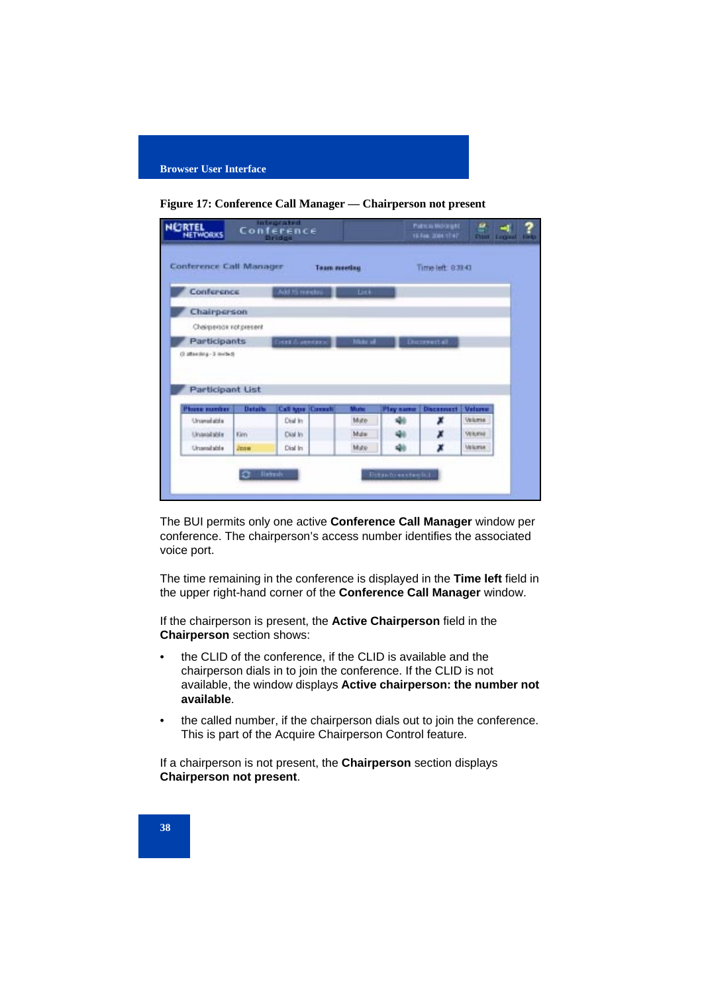

**Figure 17: Conference Call Manager — Chairperson not present**

|                                                                                                                   | Conference Call Manager |                                       | <b>Team meeting</b> |                         |                        | Time left: 0.39.43     |                           |
|-------------------------------------------------------------------------------------------------------------------|-------------------------|---------------------------------------|---------------------|-------------------------|------------------------|------------------------|---------------------------|
| <b>Conference</b>                                                                                                 |                         | Add /5 mindias                        |                     | Link                    |                        |                        |                           |
| Chairperson                                                                                                       |                         |                                       |                     |                         |                        |                        |                           |
|                                                                                                                   |                         |                                       |                     |                         |                        |                        |                           |
| Chairperson not present                                                                                           |                         |                                       |                     |                         |                        |                        |                           |
|                                                                                                                   |                         | <b>DATE &amp; MINTERS</b>             |                     | Moto all                |                        | Documental             |                           |
|                                                                                                                   |                         |                                       |                     |                         |                        |                        |                           |
|                                                                                                                   | <b>Details</b>          | <b>Call type (Connell)</b><br>Dial In |                     | Murter<br><b>Mutter</b> | <b>Play same</b><br>نف | <b>Disconnect</b><br>x | <b>Veteres:</b><br>Volume |
| Participants<br>Detwe E-granads.C<br><b>Participant List</b><br><b>Phone number</b><br>Unimal abla<br>Unavailable | Kim                     | Dial In                               |                     | Mate                    |                        | x                      | Velumi                    |

The BUI permits only one active **Conference Call Manager** window per conference. The chairperson's access number identifies the associated voice port.

The time remaining in the conference is displayed in the **Time left** field in the upper right-hand corner of the **Conference Call Manager** window.

If the chairperson is present, the **Active Chairperson** field in the **Chairperson** section shows:

- the CLID of the conference, if the CLID is available and the chairperson dials in to join the conference. If the CLID is not available, the window displays **Active chairperson: the number not available**.
- the called number, if the chairperson dials out to join the conference. This is part of the Acquire Chairperson Control feature.

If a chairperson is not present, the **Chairperson** section displays **Chairperson not present**.

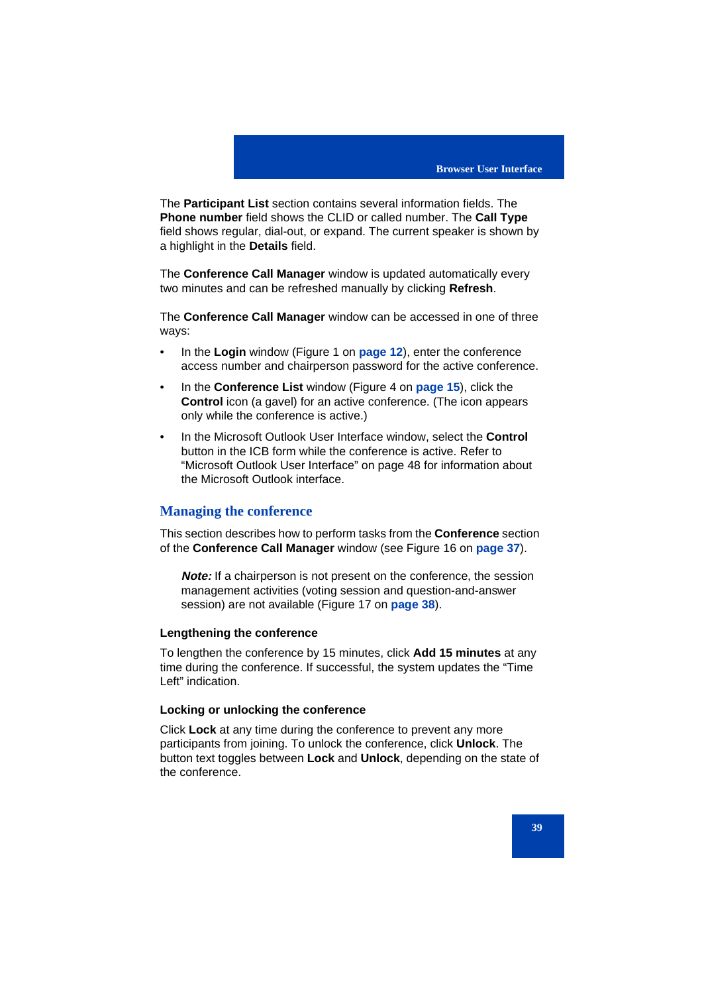The **Participant List** section contains several information fields. The **Phone number** field shows the CLID or called number. The **Call Type** field shows regular, dial-out, or expand. The current speaker is shown by a highlight in the **Details** field.

The **Conference Call Manager** window is updated automatically every two minutes and can be refreshed manually by clicking **Refresh**.

The **Conference Call Manager** window can be accessed in one of three ways:

- In the **Login** window (Figure 1 on **page 12**), enter the conference access number and chairperson password for the active conference.
- In the **Conference List** window (Figure 4 on **page 15**), click the **Control** icon (a gavel) for an active conference. (The icon appears only while the conference is active.)
- In the Microsoft Outlook User Interface window, select the **Control** button in the ICB form while the conference is active. Refer to "Microsoft Outlook User Interface" on page 48 for information about the Microsoft Outlook interface.

# **Managing the conference**

This section describes how to perform tasks from the **Conference** section of the **Conference Call Manager** window (see Figure 16 on **page 37**).

**Note:** If a chairperson is not present on the conference, the session management activities (voting session and question-and-answer session) are not available (Figure 17 on **page 38**).

#### **Lengthening the conference**

To lengthen the conference by 15 minutes, click **Add 15 minutes** at any time during the conference. If successful, the system updates the "Time Left" indication.

### **Locking or unlocking the conference**

Click **Lock** at any time during the conference to prevent any more participants from joining. To unlock the conference, click **Unlock**. The button text toggles between **Lock** and **Unlock**, depending on the state of the conference.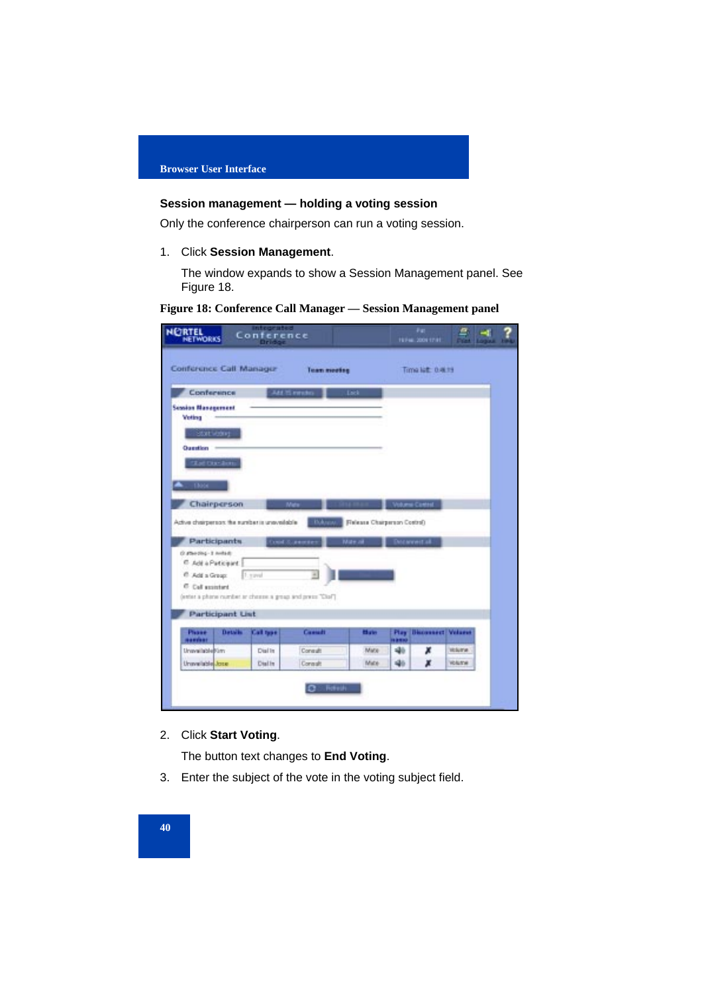# **Session management — holding a voting session**

Only the conference chairperson can run a voting session.

# 1. Click **Session Management**.

The window expands to show a Session Management panel. See Figure 18.

**Figure 18: Conference Call Manager — Session Management panel**

| <b>NORTEL</b><br>NETWORKS                                                                 | <b>Integrated</b><br>Conference<br><b>Drift</b> St |                     |                                         |                   | Pat<br><b>19740-2004 17:01</b> |               |  |
|-------------------------------------------------------------------------------------------|----------------------------------------------------|---------------------|-----------------------------------------|-------------------|--------------------------------|---------------|--|
| Conference Call Manager                                                                   |                                                    | <b>Team meeting</b> |                                         |                   | Time left: 0.46.19             |               |  |
| Conference                                                                                |                                                    | Add IS emdex        | Lack                                    |                   |                                |               |  |
| <b>Session Management</b><br>Voting                                                       |                                                    |                     |                                         |                   |                                |               |  |
| <b>BOILKONE</b><br>Question                                                               |                                                    |                     |                                         |                   |                                |               |  |
| "Let Duc Jon.                                                                             |                                                    |                     |                                         |                   |                                |               |  |
|                                                                                           |                                                    |                     |                                         |                   |                                |               |  |
| $-13006$                                                                                  |                                                    |                     |                                         |                   |                                |               |  |
| Chairperson                                                                               |                                                    |                     |                                         |                   | <b>Aumai Ciretted</b>          |               |  |
| Active chairperson: the suniber is uneverlable<br>Participants<br>O stand-1 - polonized O |                                                    | Court Summite       | Fisiesse Charperson Costrol)<br>Mar all |                   | Decement all.                  |               |  |
| C Add a Paticipant                                                                        |                                                    |                     |                                         |                   |                                |               |  |
| C Add a Greap:                                                                            | 1. yavul                                           | ٠                   |                                         |                   |                                |               |  |
| <sup>C</sup> Call suistant<br>[Notice a phone number or choose a group and press "Clark]  |                                                    |                     |                                         |                   |                                |               |  |
| <b>Participant List</b>                                                                   |                                                    |                     |                                         |                   |                                |               |  |
| <b>Datalla</b><br>Please                                                                  | Call type                                          | Cassatt             | <b>Blacks</b>                           | Play              | <b>Bisconnect Volume</b>       |               |  |
| <b>Hamber</b><br>UnavailableBüm                                                           | Dial In                                            | Consult             | Matio                                   | <b>LESH</b><br>46 | ж                              | <b>Holume</b> |  |

# 2. Click **Start Voting**.

The button text changes to **End Voting**.

3. Enter the subject of the vote in the voting subject field.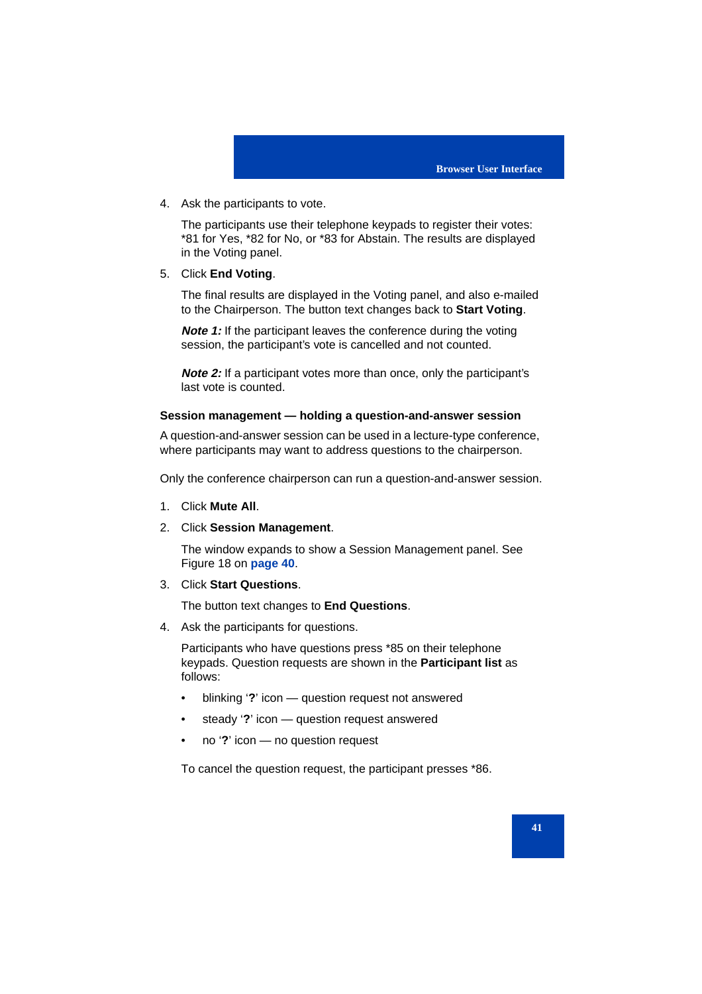4. Ask the participants to vote.

The participants use their telephone keypads to register their votes: \*81 for Yes, \*82 for No, or \*83 for Abstain. The results are displayed in the Voting panel.

5. Click **End Voting**.

The final results are displayed in the Voting panel, and also e-mailed to the Chairperson. The button text changes back to **Start Voting**.

**Note 1:** If the participant leaves the conference during the voting session, the participant's vote is cancelled and not counted.

**Note 2:** If a participant votes more than once, only the participant's last vote is counted.

### **Session management — holding a question-and-answer session**

A question-and-answer session can be used in a lecture-type conference, where participants may want to address questions to the chairperson.

Only the conference chairperson can run a question-and-answer session.

- 1. Click **Mute All**.
- 2. Click **Session Management**.

The window expands to show a Session Management panel. See Figure 18 on **page 40**.

3. Click **Start Questions**.

The button text changes to **End Questions**.

4. Ask the participants for questions.

Participants who have questions press \*85 on their telephone keypads. Question requests are shown in the **Participant list** as follows:

- blinking '**?**' icon question request not answered
- steady '**?**' icon question request answered
- no '**?**' icon no question request

To cancel the question request, the participant presses \*86.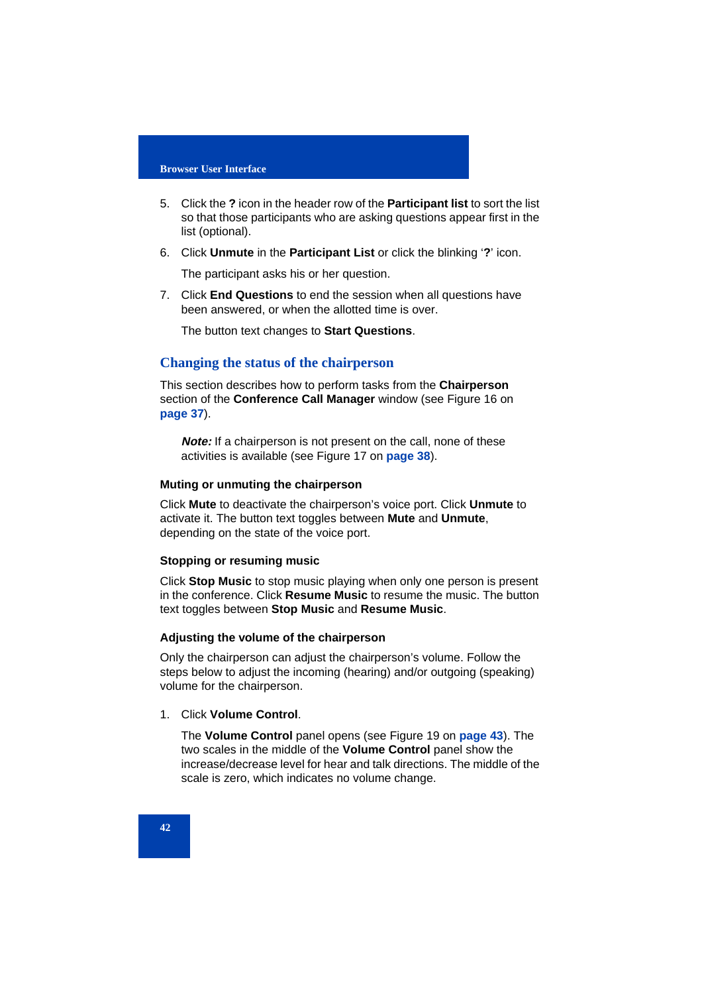- 5. Click the **?** icon in the header row of the **Participant list** to sort the list so that those participants who are asking questions appear first in the list (optional).
- 6. Click **Unmute** in the **Participant List** or click the blinking '**?**' icon.

The participant asks his or her question.

7. Click **End Questions** to end the session when all questions have been answered, or when the allotted time is over.

The button text changes to **Start Questions**.

## **Changing the status of the chairperson**

This section describes how to perform tasks from the **Chairperson** section of the **Conference Call Manager** window (see Figure 16 on **page 37**).

**Note:** If a chairperson is not present on the call, none of these activities is available (see Figure 17 on **page 38**).

# **Muting or unmuting the chairperson**

Click **Mute** to deactivate the chairperson's voice port. Click **Unmute** to activate it. The button text toggles between **Mute** and **Unmute**, depending on the state of the voice port.

#### **Stopping or resuming music**

Click **Stop Music** to stop music playing when only one person is present in the conference. Click **Resume Music** to resume the music. The button text toggles between **Stop Music** and **Resume Music**.

## **Adjusting the volume of the chairperson**

Only the chairperson can adjust the chairperson's volume. Follow the steps below to adjust the incoming (hearing) and/or outgoing (speaking) volume for the chairperson.

### 1. Click **Volume Control**.

The **Volume Control** panel opens (see Figure 19 on **page 43**). The two scales in the middle of the **Volume Control** panel show the increase/decrease level for hear and talk directions. The middle of the scale is zero, which indicates no volume change.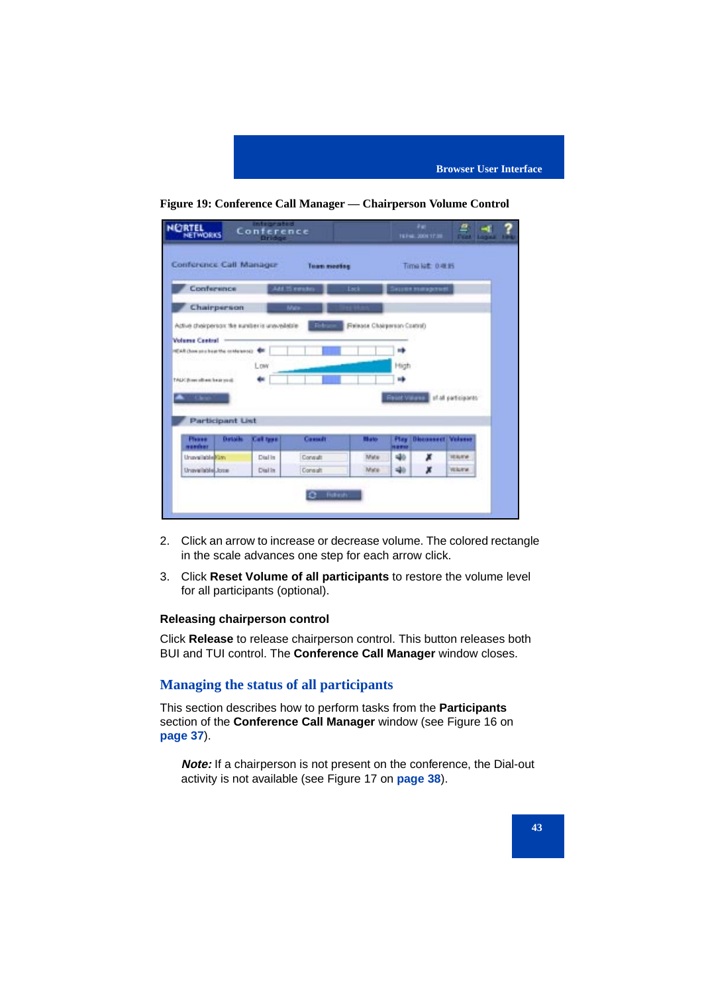



| <b>NIGRTEL</b>                                 |                | <b>Integrated</b><br>Conference               |               |                              |              | Feb<br><b>19746-2004 17:30</b>  | e<br>नगर म<br>LOQUUL LIPEL |
|------------------------------------------------|----------------|-----------------------------------------------|---------------|------------------------------|--------------|---------------------------------|----------------------------|
| Conference Call Manager                        |                |                                               | Team meeting  |                              |              | Time left: 0 @ Hi               |                            |
| Conference                                     |                |                                               | Add 25 enrolm | Lock                         |              | Сиция никарлия                  |                            |
| Chairperson                                    |                |                                               | Male          |                              |              |                                 |                            |
|                                                |                | Actual chairperson: the sunstants unavailable |               | Release Chairperson Costrol) |              |                                 |                            |
| <b>Volume Central</b>                          |                |                                               |               |                              |              |                                 |                            |
| <b>SEAR Chow sets been the condensated: CE</b> |                |                                               |               |                              | ۰Þ           |                                 |                            |
|                                                |                | Low                                           |               |                              |              |                                 |                            |
|                                                |                |                                               |               |                              | High         |                                 |                            |
| TALK three allows be as youth                  |                |                                               |               |                              | ۰Þ           |                                 |                            |
|                                                |                |                                               |               |                              |              | Residential of all participants |                            |
|                                                |                |                                               |               |                              |              |                                 |                            |
| <b>Participant List</b>                        |                |                                               |               |                              |              |                                 |                            |
| Please<br>mancher                              | <b>Datable</b> | Call type                                     | Cassatt       | <b>Mato</b>                  | Flay<br>1879 | <b>Discounsett</b>              | Welcose                    |
| Unavailable@im                                 |                | Dial in                                       | Consult       | Mate                         | 46           | Ж                               | <b>IEA/I'd</b>             |
| Urvavailable Josse                             |                | Dialin                                        | Consult       | Mate                         | 40           | ж                               | <b>Violante</b>            |
|                                                |                |                                               |               |                              |              |                                 |                            |
|                                                |                |                                               |               |                              |              |                                 |                            |
|                                                |                |                                               | $2 -$ future. |                              |              |                                 |                            |

- 2. Click an arrow to increase or decrease volume. The colored rectangle in the scale advances one step for each arrow click.
- 3. Click **Reset Volume of all participants** to restore the volume level for all participants (optional).

# **Releasing chairperson control**

Click **Release** to release chairperson control. This button releases both BUI and TUI control. The **Conference Call Manager** window closes.

# **Managing the status of all participants**

This section describes how to perform tasks from the **Participants** section of the **Conference Call Manager** window (see Figure 16 on **page 37**).

**Note:** If a chairperson is not present on the conference, the Dial-out activity is not available (see Figure 17 on **page 38**).

#### **43**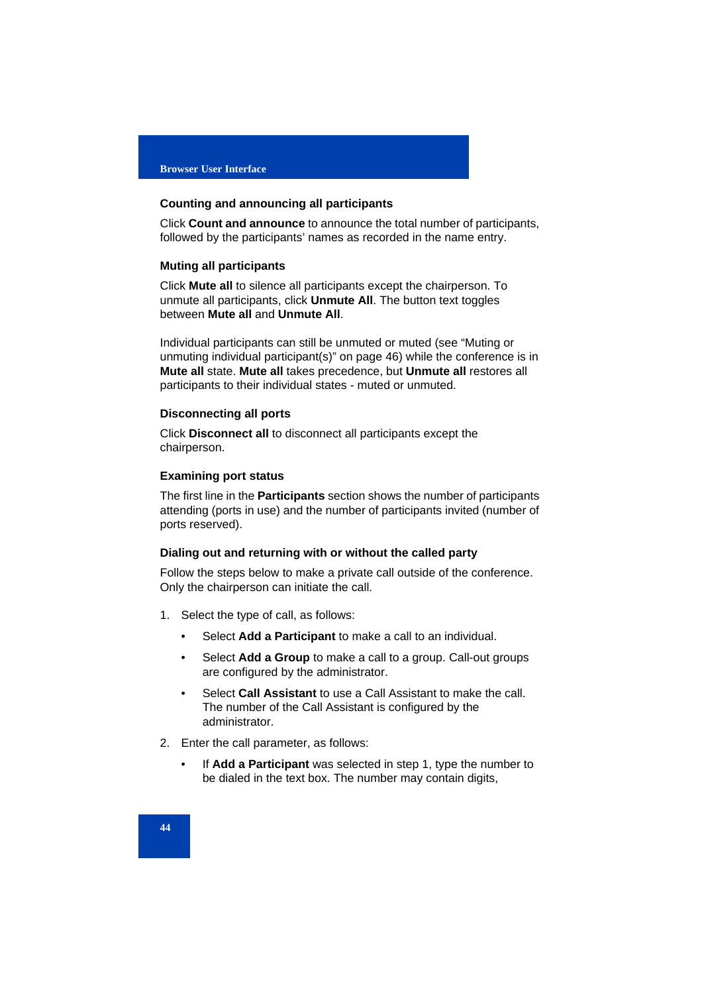#### **Counting and announcing all participants**

Click **Count and announce** to announce the total number of participants, followed by the participants' names as recorded in the name entry.

### **Muting all participants**

Click **Mute all** to silence all participants except the chairperson. To unmute all participants, click **Unmute All**. The button text toggles between **Mute all** and **Unmute All**.

Individual participants can still be unmuted or muted (see "Muting or unmuting individual participant(s)" on page 46) while the conference is in **Mute all** state. **Mute all** takes precedence, but **Unmute all** restores all participants to their individual states - muted or unmuted.

## **Disconnecting all ports**

Click **Disconnect all** to disconnect all participants except the chairperson.

# **Examining port status**

The first line in the **Participants** section shows the number of participants attending (ports in use) and the number of participants invited (number of ports reserved).

#### **Dialing out and returning with or without the called party**

Follow the steps below to make a private call outside of the conference. Only the chairperson can initiate the call.

- 1. Select the type of call, as follows:
	- Select **Add a Participant** to make a call to an individual.
	- Select **Add a Group** to make a call to a group. Call-out groups are configured by the administrator.
	- Select **Call Assistant** to use a Call Assistant to make the call. The number of the Call Assistant is configured by the administrator.
- 2. Enter the call parameter, as follows:
	- If **Add a Participant** was selected in step 1, type the number to be dialed in the text box. The number may contain digits,

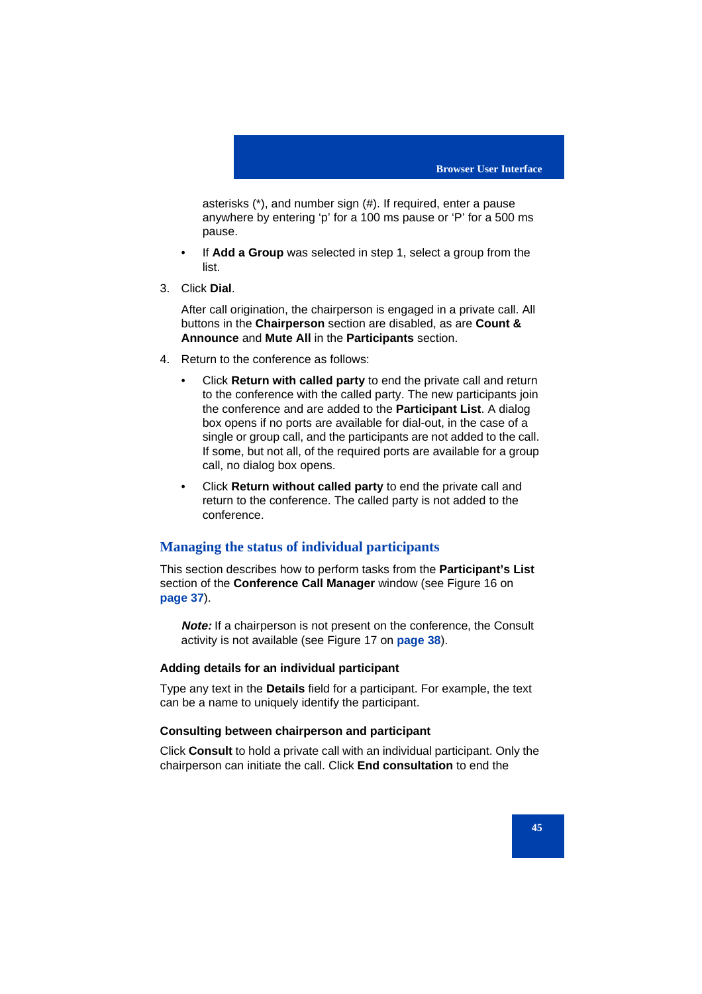asterisks (\*), and number sign (#). If required, enter a pause anywhere by entering 'p' for a 100 ms pause or 'P' for a 500 ms pause.

- If **Add a Group** was selected in step 1, select a group from the list.
- 3. Click **Dial**.

After call origination, the chairperson is engaged in a private call. All buttons in the **Chairperson** section are disabled, as are **Count & Announce** and **Mute All** in the **Participants** section.

- 4. Return to the conference as follows:
	- Click **Return with called party** to end the private call and return to the conference with the called party. The new participants join the conference and are added to the **Participant List**. A dialog box opens if no ports are available for dial-out, in the case of a single or group call, and the participants are not added to the call. If some, but not all, of the required ports are available for a group call, no dialog box opens.
	- Click **Return without called party** to end the private call and return to the conference. The called party is not added to the conference.

# **Managing the status of individual participants**

This section describes how to perform tasks from the **Participant's List** section of the **Conference Call Manager** window (see Figure 16 on **page 37**).

**Note:** If a chairperson is not present on the conference, the Consult activity is not available (see Figure 17 on **page 38**).

# **Adding details for an individual participant**

Type any text in the **Details** field for a participant. For example, the text can be a name to uniquely identify the participant.

# **Consulting between chairperson and participant**

Click **Consult** to hold a private call with an individual participant. Only the chairperson can initiate the call. Click **End consultation** to end the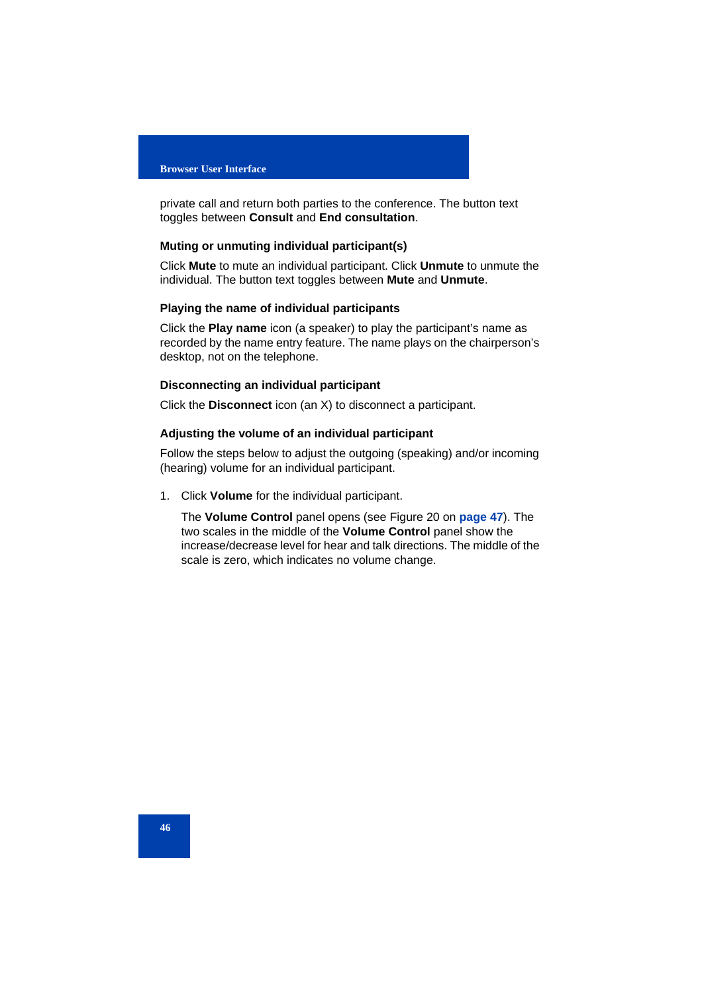#### **Browser User Interface**

private call and return both parties to the conference. The button text toggles between **Consult** and **End consultation**.

### **Muting or unmuting individual participant(s)**

Click **Mute** to mute an individual participant. Click **Unmute** to unmute the individual. The button text toggles between **Mute** and **Unmute**.

## **Playing the name of individual participants**

Click the **Play name** icon (a speaker) to play the participant's name as recorded by the name entry feature. The name plays on the chairperson's desktop, not on the telephone.

# **Disconnecting an individual participant**

Click the **Disconnect** icon (an X) to disconnect a participant.

# **Adjusting the volume of an individual participant**

Follow the steps below to adjust the outgoing (speaking) and/or incoming (hearing) volume for an individual participant.

1. Click **Volume** for the individual participant.

The **Volume Control** panel opens (see Figure 20 on **page 47**). The two scales in the middle of the **Volume Control** panel show the increase/decrease level for hear and talk directions. The middle of the scale is zero, which indicates no volume change.